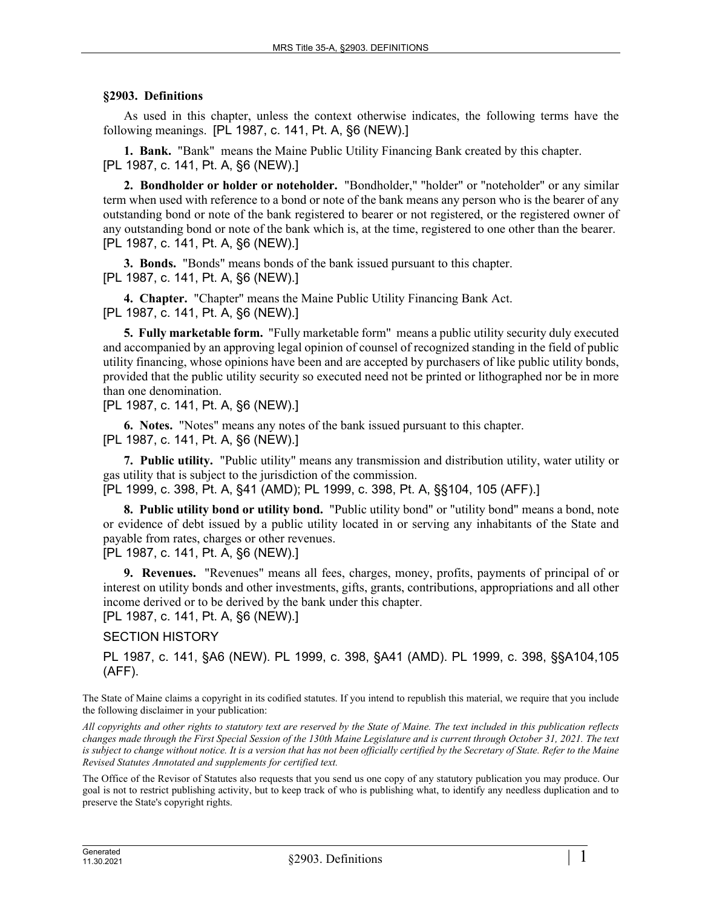## **§2903. Definitions**

As used in this chapter, unless the context otherwise indicates, the following terms have the following meanings. [PL 1987, c. 141, Pt. A, §6 (NEW).]

**1. Bank.** "Bank" means the Maine Public Utility Financing Bank created by this chapter. [PL 1987, c. 141, Pt. A, §6 (NEW).]

**2. Bondholder or holder or noteholder.** "Bondholder," "holder" or "noteholder" or any similar term when used with reference to a bond or note of the bank means any person who is the bearer of any outstanding bond or note of the bank registered to bearer or not registered, or the registered owner of any outstanding bond or note of the bank which is, at the time, registered to one other than the bearer. [PL 1987, c. 141, Pt. A, §6 (NEW).]

**3. Bonds.** "Bonds" means bonds of the bank issued pursuant to this chapter. [PL 1987, c. 141, Pt. A, §6 (NEW).]

**4. Chapter.** "Chapter" means the Maine Public Utility Financing Bank Act. [PL 1987, c. 141, Pt. A, §6 (NEW).]

**5. Fully marketable form.** "Fully marketable form" means a public utility security duly executed and accompanied by an approving legal opinion of counsel of recognized standing in the field of public utility financing, whose opinions have been and are accepted by purchasers of like public utility bonds, provided that the public utility security so executed need not be printed or lithographed nor be in more than one denomination.

[PL 1987, c. 141, Pt. A, §6 (NEW).]

**6. Notes.** "Notes" means any notes of the bank issued pursuant to this chapter. [PL 1987, c. 141, Pt. A, §6 (NEW).]

**7. Public utility.** "Public utility" means any transmission and distribution utility, water utility or gas utility that is subject to the jurisdiction of the commission.

[PL 1999, c. 398, Pt. A, §41 (AMD); PL 1999, c. 398, Pt. A, §§104, 105 (AFF).]

**8. Public utility bond or utility bond.** "Public utility bond" or "utility bond" means a bond, note or evidence of debt issued by a public utility located in or serving any inhabitants of the State and payable from rates, charges or other revenues.

[PL 1987, c. 141, Pt. A, §6 (NEW).]

**9. Revenues.** "Revenues" means all fees, charges, money, profits, payments of principal of or interest on utility bonds and other investments, gifts, grants, contributions, appropriations and all other income derived or to be derived by the bank under this chapter.

[PL 1987, c. 141, Pt. A, §6 (NEW).]

SECTION HISTORY

PL 1987, c. 141, §A6 (NEW). PL 1999, c. 398, §A41 (AMD). PL 1999, c. 398, §§A104,105 (AFF).

The State of Maine claims a copyright in its codified statutes. If you intend to republish this material, we require that you include the following disclaimer in your publication:

*All copyrights and other rights to statutory text are reserved by the State of Maine. The text included in this publication reflects changes made through the First Special Session of the 130th Maine Legislature and is current through October 31, 2021. The text*  is subject to change without notice. It is a version that has not been officially certified by the Secretary of State. Refer to the Maine *Revised Statutes Annotated and supplements for certified text.*

The Office of the Revisor of Statutes also requests that you send us one copy of any statutory publication you may produce. Our goal is not to restrict publishing activity, but to keep track of who is publishing what, to identify any needless duplication and to preserve the State's copyright rights.